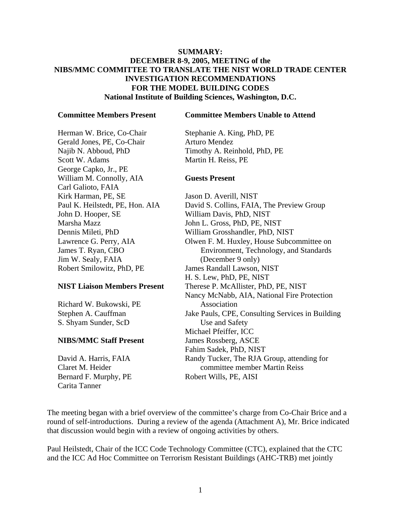# **SUMMARY: DECEMBER 8-9, 2005, MEETING of the NIBS/MMC COMMITTEE TO TRANSLATE THE NIST WORLD TRADE CENTER INVESTIGATION RECOMMENDATIONS FOR THE MODEL BUILDING CODES National Institute of Building Sciences, Washington, D.C.**

#### **Committee Members Present**

**Committee Members Unable to Attend**

Herman W. Brice, Co-Chair Gerald Jones, PE, Co-Chair Najib N. Abboud, PhD Scott W. Adams George Capko, Jr., PE William M. Connolly, AIA Carl Galioto, FAIA Kirk Harman, PE, SE Paul K. Heilstedt, PE, Hon. AIA John D. Hooper, SE Marsha Mazz Dennis Mileti, PhD Lawrence G. Perry, AIA James T. Ryan, CBO Jim W. Sealy, FAIA Robert Smilowitz, PhD, PE

### **NIST Liaison Members Present**

Richard W. Bukowski, PE Stephen A. Cauffman S. Shyam Sunder, ScD

### **NIBS/MMC Staff Present**

David A. Harris, FAIA Claret M. Heider Bernard F. Murphy, PE Carita Tanner

Stephanie A. King, PhD, PE Arturo Mendez Timothy A. Reinhold, PhD, PE Martin H. Reiss, PE

## **Guests Present**

Jason D. Averill, NIST David S. Collins, FAIA, The Preview Group William Davis, PhD, NIST John L. Gross, PhD, PE, NIST William Grosshandler, PhD, NIST Olwen F. M. Huxley, House Subcommittee on Environment, Technology, and Standards (December 9 only) James Randall Lawson, NIST H. S. Lew, PhD, PE, NIST Therese P. McAllister, PhD, PE, NIST Nancy McNabb, AIA, National Fire Protection Association Jake Pauls, CPE, Consulting Services in Building Use and Safety Michael Pfeiffer, ICC James Rossberg, ASCE Fahim Sadek, PhD, NIST Randy Tucker, The RJA Group, attending for committee member Martin Reiss Robert Wills, PE, AISI

The meeting began with a brief overview of the committee's charge from Co-Chair Brice and a round of self-introductions. During a review of the agenda (Attachment A), Mr. Brice indicated that discussion would begin with a review of ongoing activities by others.

Paul Heilstedt, Chair of the ICC Code Technology Committee (CTC), explained that the CTC and the ICC Ad Hoc Committee on Terrorism Resistant Buildings (AHC-TRB) met jointly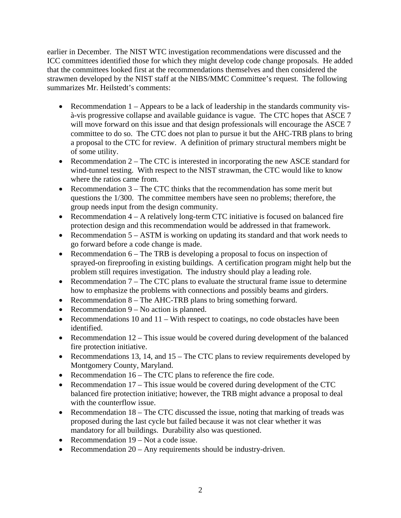earlier in December. The NIST WTC investigation recommendations were discussed and the ICC committees identified those for which they might develop code change proposals. He added that the committees looked first at the recommendations themselves and then considered the strawmen developed by the NIST staff at the NIBS/MMC Committee's request. The following summarizes Mr. Heilstedt's comments:

- Recommendation  $1 -$  Appears to be a lack of leadership in the standards community visà-vis progressive collapse and available guidance is vague. The CTC hopes that ASCE 7 will move forward on this issue and that design professionals will encourage the ASCE 7 committee to do so. The CTC does not plan to pursue it but the AHC-TRB plans to bring a proposal to the CTC for review. A definition of primary structural members might be of some utility.
- Recommendation 2 The CTC is interested in incorporating the new ASCE standard for wind-tunnel testing. With respect to the NIST strawman, the CTC would like to know where the ratios came from.
- Recommendation 3 The CTC thinks that the recommendation has some merit but questions the 1/300. The committee members have seen no problems; therefore, the group needs input from the design community.
- Recommendation  $4 A$  relatively long-term CTC initiative is focused on balanced fire protection design and this recommendation would be addressed in that framework.
- Recommendation 5 ASTM is working on updating its standard and that work needs to go forward before a code change is made.
- Recommendation 6 The TRB is developing a proposal to focus on inspection of sprayed-on fireproofing in existing buildings. A certification program might help but the problem still requires investigation. The industry should play a leading role.
- Recommendation 7 The CTC plans to evaluate the structural frame issue to determine how to emphasize the problems with connections and possibly beams and girders.
- Recommendation 8 The AHC-TRB plans to bring something forward.
- Recommendation 9 No action is planned.
- Recommendations 10 and  $11 -$  With respect to coatings, no code obstacles have been identified.
- Recommendation 12 This issue would be covered during development of the balanced fire protection initiative.
- Recommendations 13, 14, and 15 The CTC plans to review requirements developed by Montgomery County, Maryland.
- Recommendation 16 The CTC plans to reference the fire code.
- Recommendation 17 This issue would be covered during development of the CTC balanced fire protection initiative; however, the TRB might advance a proposal to deal with the counterflow issue.
- Recommendation 18 The CTC discussed the issue, noting that marking of treads was proposed during the last cycle but failed because it was not clear whether it was mandatory for all buildings. Durability also was questioned.
- Recommendation 19 Not a code issue.
- Recommendation 20 Any requirements should be industry-driven.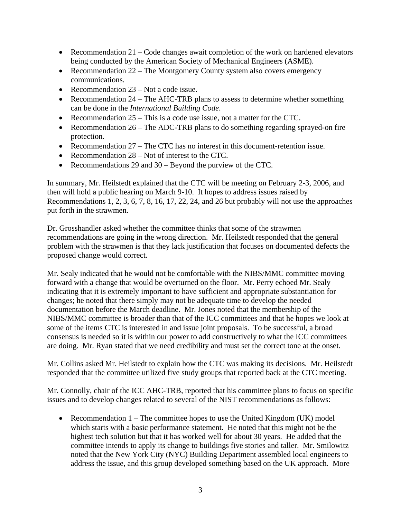- Recommendation  $21 \text{Code changes}$  await completion of the work on hardened elevators being conducted by the American Society of Mechanical Engineers (ASME).
- Recommendation 22 The Montgomery County system also covers emergency communications.
- Recommendation 23 Not a code issue.
- Recommendation 24 The AHC-TRB plans to assess to determine whether something can be done in the *International Building Code*.
- Recommendation 25 This is a code use issue, not a matter for the CTC.
- Recommendation 26 The ADC-TRB plans to do something regarding sprayed-on fire protection.
- Recommendation 27 The CTC has no interest in this document-retention issue.
- Recommendation 28 Not of interest to the CTC.
- Recommendations 29 and 30 Beyond the purview of the CTC.

In summary, Mr. Heilstedt explained that the CTC will be meeting on February 2-3, 2006, and then will hold a public hearing on March 9-10. It hopes to address issues raised by Recommendations 1, 2, 3, 6, 7, 8, 16, 17, 22, 24, and 26 but probably will not use the approaches put forth in the strawmen.

Dr. Grosshandler asked whether the committee thinks that some of the strawmen recommendations are going in the wrong direction. Mr. Heilstedt responded that the general problem with the strawmen is that they lack justification that focuses on documented defects the proposed change would correct.

Mr. Sealy indicated that he would not be comfortable with the NIBS/MMC committee moving forward with a change that would be overturned on the floor. Mr. Perry echoed Mr. Sealy indicating that it is extremely important to have sufficient and appropriate substantiation for changes; he noted that there simply may not be adequate time to develop the needed documentation before the March deadline. Mr. Jones noted that the membership of the NIBS/MMC committee is broader than that of the ICC committees and that he hopes we look at some of the items CTC is interested in and issue joint proposals. To be successful, a broad consensus is needed so it is within our power to add constructively to what the ICC committees are doing. Mr. Ryan stated that we need credibility and must set the correct tone at the onset.

Mr. Collins asked Mr. Heilstedt to explain how the CTC was making its decisions. Mr. Heilstedt responded that the committee utilized five study groups that reported back at the CTC meeting.

Mr. Connolly, chair of the ICC AHC-TRB, reported that his committee plans to focus on specific issues and to develop changes related to several of the NIST recommendations as follows:

• Recommendation  $1 -$  The committee hopes to use the United Kingdom (UK) model which starts with a basic performance statement. He noted that this might not be the highest tech solution but that it has worked well for about 30 years. He added that the committee intends to apply its change to buildings five stories and taller. Mr. Smilowitz noted that the New York City (NYC) Building Department assembled local engineers to address the issue, and this group developed something based on the UK approach. More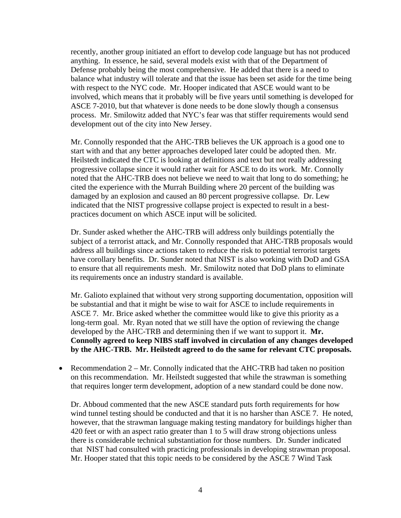recently, another group initiated an effort to develop code language but has not produced anything. In essence, he said, several models exist with that of the Department of Defense probably being the most comprehensive. He added that there is a need to balance what industry will tolerate and that the issue has been set aside for the time being with respect to the NYC code. Mr. Hooper indicated that ASCE would want to be involved, which means that it probably will be five years until something is developed for ASCE 7-2010, but that whatever is done needs to be done slowly though a consensus process. Mr. Smilowitz added that NYC's fear was that stiffer requirements would send development out of the city into New Jersey.

Mr. Connolly responded that the AHC-TRB believes the UK approach is a good one to start with and that any better approaches developed later could be adopted then. Mr. Heilstedt indicated the CTC is looking at definitions and text but not really addressing progressive collapse since it would rather wait for ASCE to do its work. Mr. Connolly noted that the AHC-TRB does not believe we need to wait that long to do something; he cited the experience with the Murrah Building where 20 percent of the building was damaged by an explosion and caused an 80 percent progressive collapse. Dr. Lew indicated that the NIST progressive collapse project is expected to result in a bestpractices document on which ASCE input will be solicited.

Dr. Sunder asked whether the AHC-TRB will address only buildings potentially the subject of a terrorist attack, and Mr. Connolly responded that AHC-TRB proposals would address all buildings since actions taken to reduce the risk to potential terrorist targets have corollary benefits. Dr. Sunder noted that NIST is also working with DoD and GSA to ensure that all requirements mesh. Mr. Smilowitz noted that DoD plans to eliminate its requirements once an industry standard is available.

Mr. Galioto explained that without very strong supporting documentation, opposition will be substantial and that it might be wise to wait for ASCE to include requirements in ASCE 7. Mr. Brice asked whether the committee would like to give this priority as a long-term goal. Mr. Ryan noted that we still have the option of reviewing the change developed by the AHC-TRB and determining then if we want to support it. **Mr. Connolly agreed to keep NIBS staff involved in circulation of any changes developed by the AHC-TRB. Mr. Heilstedt agreed to do the same for relevant CTC proposals.**

• Recommendation  $2 - Mr$ . Connolly indicated that the AHC-TRB had taken no position on this recommendation. Mr. Heilstedt suggested that while the strawman is something that requires longer term development, adoption of a new standard could be done now.

Dr. Abboud commented that the new ASCE standard puts forth requirements for how wind tunnel testing should be conducted and that it is no harsher than ASCE 7. He noted, however, that the strawman language making testing mandatory for buildings higher than 420 feet or with an aspect ratio greater than 1 to 5 will draw strong objections unless there is considerable technical substantiation for those numbers. Dr. Sunder indicated that NIST had consulted with practicing professionals in developing strawman proposal. Mr. Hooper stated that this topic needs to be considered by the ASCE 7 Wind Task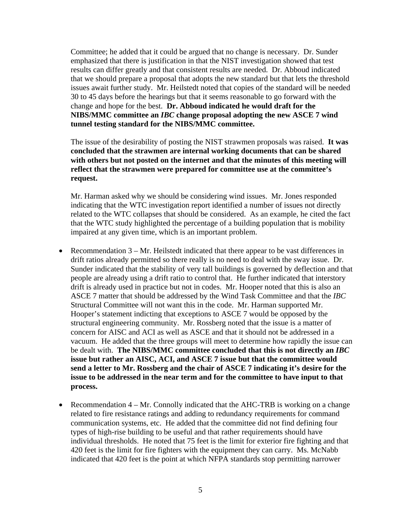Committee; he added that it could be argued that no change is necessary. Dr. Sunder emphasized that there is justification in that the NIST investigation showed that test results can differ greatly and that consistent results are needed. Dr. Abboud indicated that we should prepare a proposal that adopts the new standard but that lets the threshold issues await further study. Mr. Heilstedt noted that copies of the standard will be needed 30 to 45 days before the hearings but that it seems reasonable to go forward with the change and hope for the best. **Dr. Abboud indicated he would draft for the NIBS/MMC committee an** *IBC* **change proposal adopting the new ASCE 7 wind tunnel testing standard for the NIBS/MMC committee.** 

The issue of the desirability of posting the NIST strawmen proposals was raised. **It was concluded that the strawmen are internal working documents that can be shared with others but not posted on the internet and that the minutes of this meeting will reflect that the strawmen were prepared for committee use at the committee's request.** 

Mr. Harman asked why we should be considering wind issues. Mr. Jones responded indicating that the WTC investigation report identified a number of issues not directly related to the WTC collapses that should be considered. As an example, he cited the fact that the WTC study highlighted the percentage of a building population that is mobility impaired at any given time, which is an important problem.

- Recommendation  $3 Mr$ . Heilstedt indicated that there appear to be vast differences in drift ratios already permitted so there really is no need to deal with the sway issue. Dr. Sunder indicated that the stability of very tall buildings is governed by deflection and that people are already using a drift ratio to control that. He further indicated that interstory drift is already used in practice but not in codes. Mr. Hooper noted that this is also an ASCE 7 matter that should be addressed by the Wind Task Committee and that the *IBC*  Structural Committee will not want this in the code. Mr. Harman supported Mr. Hooper's statement indicting that exceptions to ASCE 7 would be opposed by the structural engineering community. Mr. Rossberg noted that the issue is a matter of concern for AISC and ACI as well as ASCE and that it should not be addressed in a vacuum. He added that the three groups will meet to determine how rapidly the issue can be dealt with. **The NIBS/MMC committee concluded that this is not directly an** *IBC* **issue but rather an AISC, ACI, and ASCE 7 issue but that the committee would send a letter to Mr. Rossberg and the chair of ASCE 7 indicating it's desire for the issue to be addressed in the near term and for the committee to have input to that process.**
- Recommendation  $4 Mr$ . Connolly indicated that the AHC-TRB is working on a change related to fire resistance ratings and adding to redundancy requirements for command communication systems, etc. He added that the committee did not find defining four types of high-rise building to be useful and that rather requirements should have individual thresholds. He noted that 75 feet is the limit for exterior fire fighting and that 420 feet is the limit for fire fighters with the equipment they can carry. Ms. McNabb indicated that 420 feet is the point at which NFPA standards stop permitting narrower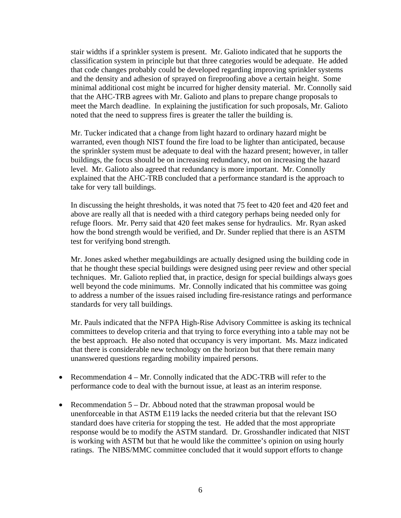stair widths if a sprinkler system is present. Mr. Galioto indicated that he supports the classification system in principle but that three categories would be adequate. He added that code changes probably could be developed regarding improving sprinkler systems and the density and adhesion of sprayed on fireproofing above a certain height. Some minimal additional cost might be incurred for higher density material. Mr. Connolly said that the AHC-TRB agrees with Mr. Galioto and plans to prepare change proposals to meet the March deadline. In explaining the justification for such proposals, Mr. Galioto noted that the need to suppress fires is greater the taller the building is.

Mr. Tucker indicated that a change from light hazard to ordinary hazard might be warranted, even though NIST found the fire load to be lighter than anticipated, because the sprinkler system must be adequate to deal with the hazard present; however, in taller buildings, the focus should be on increasing redundancy, not on increasing the hazard level. Mr. Galioto also agreed that redundancy is more important. Mr. Connolly explained that the AHC-TRB concluded that a performance standard is the approach to take for very tall buildings.

In discussing the height thresholds, it was noted that 75 feet to 420 feet and 420 feet and above are really all that is needed with a third category perhaps being needed only for refuge floors. Mr. Perry said that 420 feet makes sense for hydraulics. Mr. Ryan asked how the bond strength would be verified, and Dr. Sunder replied that there is an ASTM test for verifying bond strength.

Mr. Jones asked whether megabuildings are actually designed using the building code in that he thought these special buildings were designed using peer review and other special techniques. Mr. Galioto replied that, in practice, design for special buildings always goes well beyond the code minimums. Mr. Connolly indicated that his committee was going to address a number of the issues raised including fire-resistance ratings and performance standards for very tall buildings.

Mr. Pauls indicated that the NFPA High-Rise Advisory Committee is asking its technical committees to develop criteria and that trying to force everything into a table may not be the best approach. He also noted that occupancy is very important. Ms. Mazz indicated that there is considerable new technology on the horizon but that there remain many unanswered questions regarding mobility impaired persons.

- Recommendation 4 Mr. Connolly indicated that the ADC-TRB will refer to the performance code to deal with the burnout issue, at least as an interim response.
- Recommendation  $5 Dr$ . Abboud noted that the strawman proposal would be unenforceable in that ASTM E119 lacks the needed criteria but that the relevant ISO standard does have criteria for stopping the test. He added that the most appropriate response would be to modify the ASTM standard. Dr. Grosshandler indicated that NIST is working with ASTM but that he would like the committee's opinion on using hourly ratings. The NIBS/MMC committee concluded that it would support efforts to change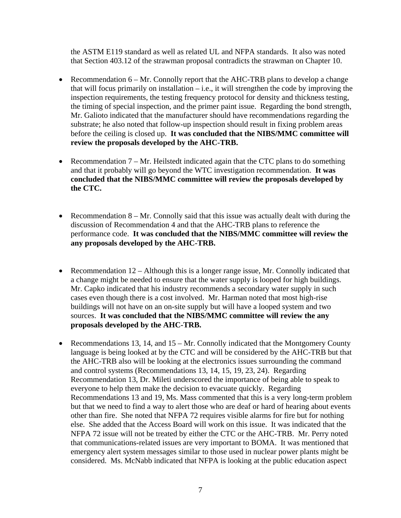the ASTM E119 standard as well as related UL and NFPA standards. It also was noted that Section 403.12 of the strawman proposal contradicts the strawman on Chapter 10.

- Recommendation 6 Mr. Connolly report that the AHC-TRB plans to develop a change that will focus primarily on installation  $-$  i.e., it will strengthen the code by improving the inspection requirements, the testing frequency protocol for density and thickness testing, the timing of special inspection, and the primer paint issue. Regarding the bond strength, Mr. Galioto indicated that the manufacturer should have recommendations regarding the substrate; he also noted that follow-up inspection should result in fixing problem areas before the ceiling is closed up. **It was concluded that the NIBS/MMC committee will review the proposals developed by the AHC-TRB.**
- Recommendation  $7 Mr$ . Heilstedt indicated again that the CTC plans to do something and that it probably will go beyond the WTC investigation recommendation. **It was concluded that the NIBS/MMC committee will review the proposals developed by the CTC.**
- Recommendation  $8 Mr$ . Connolly said that this issue was actually dealt with during the discussion of Recommendation 4 and that the AHC-TRB plans to reference the performance code. **It was concluded that the NIBS/MMC committee will review the any proposals developed by the AHC-TRB.**
- Recommendation  $12 -$  Although this is a longer range issue, Mr. Connolly indicated that a change might be needed to ensure that the water supply is looped for high buildings. Mr. Capko indicated that his industry recommends a secondary water supply in such cases even though there is a cost involved. Mr. Harman noted that most high-rise buildings will not have on an on-site supply but will have a looped system and two sources. **It was concluded that the NIBS/MMC committee will review the any proposals developed by the AHC-TRB.**
- Recommendations 13, 14, and 15 Mr. Connolly indicated that the Montgomery County language is being looked at by the CTC and will be considered by the AHC-TRB but that the AHC-TRB also will be looking at the electronics issues surrounding the command and control systems (Recommendations 13, 14, 15, 19, 23, 24). Regarding Recommendation 13, Dr. Mileti underscored the importance of being able to speak to everyone to help them make the decision to evacuate quickly. Regarding Recommendations 13 and 19, Ms. Mass commented that this is a very long-term problem but that we need to find a way to alert those who are deaf or hard of hearing about events other than fire. She noted that NFPA 72 requires visible alarms for fire but for nothing else. She added that the Access Board will work on this issue. It was indicated that the NFPA 72 issue will not be treated by either the CTC or the AHC-TRB. Mr. Perry noted that communications-related issues are very important to BOMA. It was mentioned that emergency alert system messages similar to those used in nuclear power plants might be considered. Ms. McNabb indicated that NFPA is looking at the public education aspect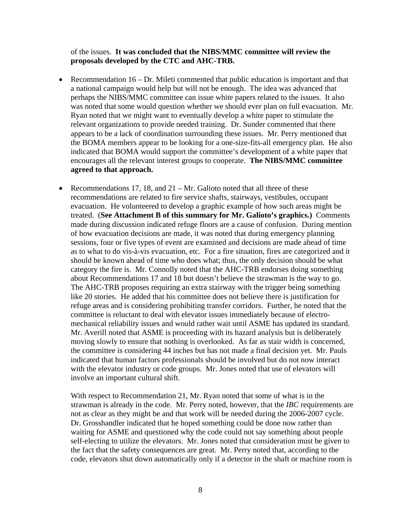of the issues. **It was concluded that the NIBS/MMC committee will review the proposals developed by the CTC and AHC-TRB.**

- Recommendation  $16 Dr$ . Mileti commented that public education is important and that a national campaign would help but will not be enough. The idea was advanced that perhaps the NIBS/MMC committee can issue white papers related to the issues. It also was noted that some would question whether we should ever plan on full evacuation. Mr. Ryan noted that we might want to eventually develop a white paper to stimulate the relevant organizations to provide needed training. Dr. Sunder commented that there appears to be a lack of coordination surrounding these issues. Mr. Perry mentioned that the BOMA members appear to be looking for a one-size-fits-all emergency plan. He also indicated that BOMA would support the committee's development of a white paper that encourages all the relevant interest groups to cooperate. **The NIBS/MMC committee agreed to that approach.**
- Recommendations 17, 18, and  $21 Mr$ . Galioto noted that all three of these recommendations are related to fire service shafts, stairways, vestibules, occupant evacuation. He volunteered to develop a graphic example of how such areas might be treated. (**See Attachment B of this summary for Mr. Galioto's graphics.)** Comments made during discussion indicated refuge floors are a cause of confusion. During mention of how evacuation decisions are made, it was noted that during emergency planning sessions, four or five types of event are examined and decisions are made ahead of time as to what to do vis-à-vis evacuation, etc. For a fire situation, fires are categorized and it should be known ahead of time who does what; thus, the only decision should be what category the fire is. Mr. Connolly noted that the AHC-TRB endorses doing something about Recommendations 17 and 18 but doesn't believe the strawman is the way to go. The AHC-TRB proposes requiring an extra stairway with the trigger being something like 20 stories. He added that his committee does not believe there is justification for refuge areas and is considering prohibiting transfer corridors. Further, he noted that the committee is reluctant to deal with elevator issues immediately because of electromechanical reliability issues and would rather wait until ASME has updated its standard. Mr. Averill noted that ASME is proceeding with its hazard analysis but is deliberately moving slowly to ensure that nothing is overlooked. As far as stair width is concerned, the committee is considering 44 inches but has not made a final decision yet. Mr. Pauls indicated that human factors professionals should be involved but do not now interact with the elevator industry or code groups. Mr. Jones noted that use of elevators will involve an important cultural shift.

With respect to Recommendation 21, Mr. Ryan noted that some of what is in the strawman is already in the code. Mr. Perry noted, however, that the *IBC* requirements are not as clear as they might be and that work will be needed during the 2006-2007 cycle. Dr. Grosshandler indicated that he hoped something could be done now rather than waiting for ASME and questioned why the code could not say something about people self-electing to utilize the elevators. Mr. Jones noted that consideration must be given to the fact that the safety consequences are great. Mr. Perry noted that, according to the code, elevators shut down automatically only if a detector in the shaft or machine room is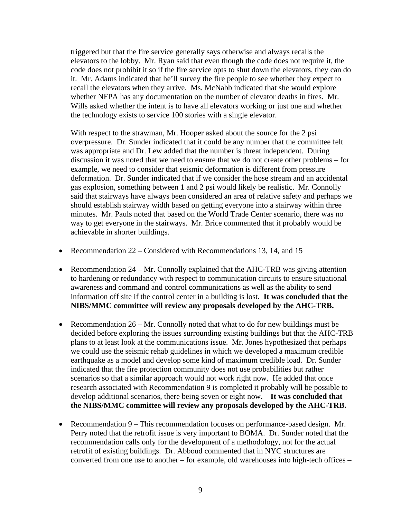triggered but that the fire service generally says otherwise and always recalls the elevators to the lobby. Mr. Ryan said that even though the code does not require it, the code does not prohibit it so if the fire service opts to shut down the elevators, they can do it. Mr. Adams indicated that he'll survey the fire people to see whether they expect to recall the elevators when they arrive. Ms. McNabb indicated that she would explore whether NFPA has any documentation on the number of elevator deaths in fires. Mr. Wills asked whether the intent is to have all elevators working or just one and whether the technology exists to service 100 stories with a single elevator.

With respect to the strawman, Mr. Hooper asked about the source for the 2 psi overpressure. Dr. Sunder indicated that it could be any number that the committee felt was appropriate and Dr. Lew added that the number is threat independent. During discussion it was noted that we need to ensure that we do not create other problems – for example, we need to consider that seismic deformation is different from pressure deformation. Dr. Sunder indicated that if we consider the hose stream and an accidental gas explosion, something between 1 and 2 psi would likely be realistic. Mr. Connolly said that stairways have always been considered an area of relative safety and perhaps we should establish stairway width based on getting everyone into a stairway within three minutes. Mr. Pauls noted that based on the World Trade Center scenario, there was no way to get everyone in the stairways. Mr. Brice commented that it probably would be achievable in shorter buildings.

- Recommendation 22 Considered with Recommendations 13, 14, and 15
- Recommendation 24 Mr. Connolly explained that the AHC-TRB was giving attention to hardening or redundancy with respect to communication circuits to ensure situational awareness and command and control communications as well as the ability to send information off site if the control center in a building is lost. **It was concluded that the NIBS/MMC committee will review any proposals developed by the AHC-TRB.**
- Recommendation  $26 Mr$ . Connolly noted that what to do for new buildings must be decided before exploring the issues surrounding existing buildings but that the AHC-TRB plans to at least look at the communications issue. Mr. Jones hypothesized that perhaps we could use the seismic rehab guidelines in which we developed a maximum credible earthquake as a model and develop some kind of maximum credible load. Dr. Sunder indicated that the fire protection community does not use probabilities but rather scenarios so that a similar approach would not work right now. He added that once research associated with Recommendation 9 is completed it probably will be possible to develop additional scenarios, there being seven or eight now. **It was concluded that the NIBS/MMC committee will review any proposals developed by the AHC-TRB.**
- Recommendation 9 This recommendation focuses on performance-based design. Mr. Perry noted that the retrofit issue is very important to BOMA. Dr. Sunder noted that the recommendation calls only for the development of a methodology, not for the actual retrofit of existing buildings. Dr. Abboud commented that in NYC structures are converted from one use to another – for example, old warehouses into high-tech offices –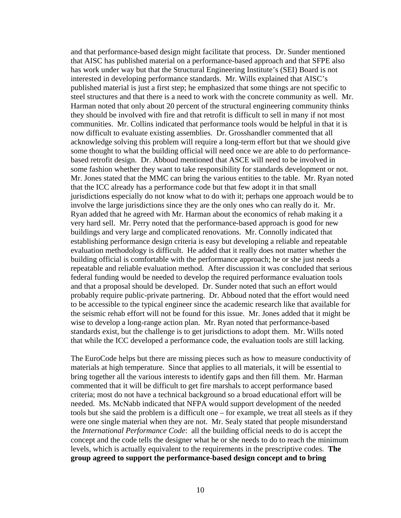and that performance-based design might facilitate that process. Dr. Sunder mentioned that AISC has published material on a performance-based approach and that SFPE also has work under way but that the Structural Engineering Institute's (SEI) Board is not interested in developing performance standards. Mr. Wills explained that AISC's published material is just a first step; he emphasized that some things are not specific to steel structures and that there is a need to work with the concrete community as well. Mr. Harman noted that only about 20 percent of the structural engineering community thinks they should be involved with fire and that retrofit is difficult to sell in many if not most communities. Mr. Collins indicated that performance tools would be helpful in that it is now difficult to evaluate existing assemblies. Dr. Grosshandler commented that all acknowledge solving this problem will require a long-term effort but that we should give some thought to what the building official will need once we are able to do performancebased retrofit design. Dr. Abboud mentioned that ASCE will need to be involved in some fashion whether they want to take responsibility for standards development or not. Mr. Jones stated that the MMC can bring the various entities to the table. Mr. Ryan noted that the ICC already has a performance code but that few adopt it in that small jurisdictions especially do not know what to do with it; perhaps one approach would be to involve the large jurisdictions since they are the only ones who can really do it. Mr. Ryan added that he agreed with Mr. Harman about the economics of rehab making it a very hard sell. Mr. Perry noted that the performance-based approach is good for new buildings and very large and complicated renovations. Mr. Connolly indicated that establishing performance design criteria is easy but developing a reliable and repeatable evaluation methodology is difficult. He added that it really does not matter whether the building official is comfortable with the performance approach; he or she just needs a repeatable and reliable evaluation method. After discussion it was concluded that serious federal funding would be needed to develop the required performance evaluation tools and that a proposal should be developed. Dr. Sunder noted that such an effort would probably require public-private partnering. Dr. Abboud noted that the effort would need to be accessible to the typical engineer since the academic research like that available for the seismic rehab effort will not be found for this issue. Mr. Jones added that it might be wise to develop a long-range action plan. Mr. Ryan noted that performance-based standards exist, but the challenge is to get jurisdictions to adopt them. Mr. Wills noted that while the ICC developed a performance code, the evaluation tools are still lacking.

The EuroCode helps but there are missing pieces such as how to measure conductivity of materials at high temperature. Since that applies to all materials, it will be essential to bring together all the various interests to identify gaps and then fill them. Mr. Harman commented that it will be difficult to get fire marshals to accept performance based criteria; most do not have a technical background so a broad educational effort will be needed. Ms. McNabb indicated that NFPA would support development of the needed tools but she said the problem is a difficult one – for example, we treat all steels as if they were one single material when they are not. Mr. Sealy stated that people misunderstand the *International Performance Code*: all the building official needs to do is accept the concept and the code tells the designer what he or she needs to do to reach the minimum levels, which is actually equivalent to the requirements in the prescriptive codes. **The group agreed to support the performance-based design concept and to bring**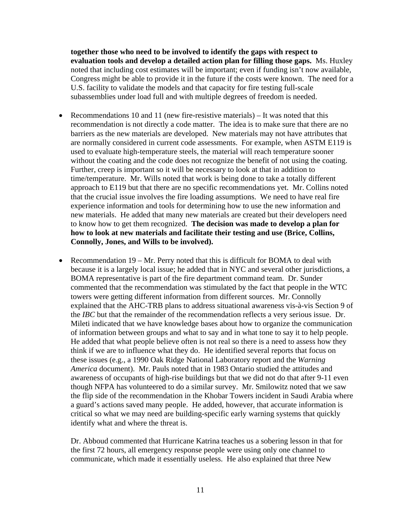**together those who need to be involved to identify the gaps with respect to evaluation tools and develop a detailed action plan for filling those gaps.** Ms. Huxley noted that including cost estimates will be important; even if funding isn't now available, Congress might be able to provide it in the future if the costs were known. The need for a U.S. facility to validate the models and that capacity for fire testing full-scale subassemblies under load full and with multiple degrees of freedom is needed.

- Recommendations 10 and 11 (new fire-resistive materials)  $-$  It was noted that this recommendation is not directly a code matter. The idea is to make sure that there are no barriers as the new materials are developed. New materials may not have attributes that are normally considered in current code assessments. For example, when ASTM E119 is used to evaluate high-temperature steels, the material will reach temperature sooner without the coating and the code does not recognize the benefit of not using the coating. Further, creep is important so it will be necessary to look at that in addition to time/temperature. Mr. Wills noted that work is being done to take a totally different approach to E119 but that there are no specific recommendations yet. Mr. Collins noted that the crucial issue involves the fire loading assumptions. We need to have real fire experience information and tools for determining how to use the new information and new materials. He added that many new materials are created but their developers need to know how to get them recognized. **The decision was made to develop a plan for how to look at new materials and facilitate their testing and use (Brice, Collins, Connolly, Jones, and Wills to be involved).**
- Recommendation 19 Mr. Perry noted that this is difficult for BOMA to deal with because it is a largely local issue; he added that in NYC and several other jurisdictions, a BOMA representative is part of the fire department command team. Dr. Sunder commented that the recommendation was stimulated by the fact that people in the WTC towers were getting different information from different sources. Mr. Connolly explained that the AHC-TRB plans to address situational awareness vis-à-vis Section 9 of the *IBC* but that the remainder of the recommendation reflects a very serious issue. Dr. Mileti indicated that we have knowledge bases about how to organize the communication of information between groups and what to say and in what tone to say it to help people. He added that what people believe often is not real so there is a need to assess how they think if we are to influence what they do. He identified several reports that focus on these issues (e.g., a 1990 Oak Ridge National Laboratory report and the *Warning America* document). Mr. Pauls noted that in 1983 Ontario studied the attitudes and awareness of occupants of high-rise buildings but that we did not do that after 9-11 even though NFPA has volunteered to do a similar survey. Mr. Smilowitz noted that we saw the flip side of the recommendation in the Khobar Towers incident in Saudi Arabia where a guard's actions saved many people. He added, however, that accurate information is critical so what we may need are building-specific early warning systems that quickly identify what and where the threat is.

Dr. Abboud commented that Hurricane Katrina teaches us a sobering lesson in that for the first 72 hours, all emergency response people were using only one channel to communicate, which made it essentially useless. He also explained that three New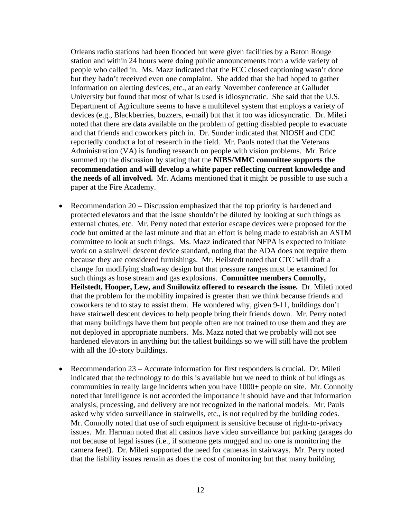Orleans radio stations had been flooded but were given facilities by a Baton Rouge station and within 24 hours were doing public announcements from a wide variety of people who called in. Ms. Mazz indicated that the FCC closed captioning wasn't done but they hadn't received even one complaint. She added that she had hoped to gather information on alerting devices, etc., at an early November conference at Galludet University but found that most of what is used is idiosyncratic. She said that the U.S. Department of Agriculture seems to have a multilevel system that employs a variety of devices (e.g., Blackberries, buzzers, e-mail) but that it too was idiosyncratic. Dr. Mileti noted that there are data available on the problem of getting disabled people to evacuate and that friends and coworkers pitch in. Dr. Sunder indicated that NIOSH and CDC reportedly conduct a lot of research in the field. Mr. Pauls noted that the Veterans Administration (VA) is funding research on people with vision problems. Mr. Brice summed up the discussion by stating that the **NIBS/MMC committee supports the recommendation and will develop a white paper reflecting current knowledge and the needs of all involved.** Mr. Adams mentioned that it might be possible to use such a paper at the Fire Academy.

- Recommendation 20 Discussion emphasized that the top priority is hardened and protected elevators and that the issue shouldn't be diluted by looking at such things as external chutes, etc. Mr. Perry noted that exterior escape devices were proposed for the code but omitted at the last minute and that an effort is being made to establish an ASTM committee to look at such things. Ms. Mazz indicated that NFPA is expected to initiate work on a stairwell descent device standard, noting that the ADA does not require them because they are considered furnishings. Mr. Heilstedt noted that CTC will draft a change for modifying shaftway design but that pressure ranges must be examined for such things as hose stream and gas explosions. **Committee members Connolly, Heilstedt, Hooper, Lew, and Smilowitz offered to research the issue.** Dr. Mileti noted that the problem for the mobility impaired is greater than we think because friends and coworkers tend to stay to assist them. He wondered why, given 9-11, buildings don't have stairwell descent devices to help people bring their friends down. Mr. Perry noted that many buildings have them but people often are not trained to use them and they are not deployed in appropriate numbers. Ms. Mazz noted that we probably will not see hardened elevators in anything but the tallest buildings so we will still have the problem with all the 10-story buildings.
- Recommendation 23 Accurate information for first responders is crucial. Dr. Mileti indicated that the technology to do this is available but we need to think of buildings as communities in really large incidents when you have 1000+ people on site. Mr. Connolly noted that intelligence is not accorded the importance it should have and that information analysis, processing, and delivery are not recognized in the national models. Mr. Pauls asked why video surveillance in stairwells, etc., is not required by the building codes. Mr. Connolly noted that use of such equipment is sensitive because of right-to-privacy issues. Mr. Harman noted that all casinos have video surveillance but parking garages do not because of legal issues (i.e., if someone gets mugged and no one is monitoring the camera feed). Dr. Mileti supported the need for cameras in stairways. Mr. Perry noted that the liability issues remain as does the cost of monitoring but that many building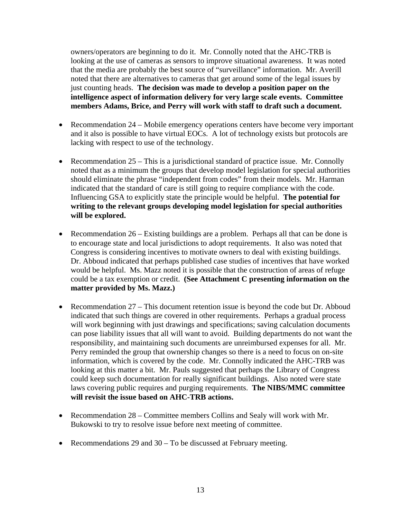owners/operators are beginning to do it. Mr. Connolly noted that the AHC-TRB is looking at the use of cameras as sensors to improve situational awareness. It was noted that the media are probably the best source of "surveillance" information. Mr. Averill noted that there are alternatives to cameras that get around some of the legal issues by just counting heads. **The decision was made to develop a position paper on the intelligence aspect of information delivery for very large scale events. Committee members Adams, Brice, and Perry will work with staff to draft such a document.** 

- Recommendation 24 Mobile emergency operations centers have become very important and it also is possible to have virtual EOCs. A lot of technology exists but protocols are lacking with respect to use of the technology.
- Recommendation 25 This is a jurisdictional standard of practice issue. Mr. Connolly noted that as a minimum the groups that develop model legislation for special authorities should eliminate the phrase "independent from codes" from their models. Mr. Harman indicated that the standard of care is still going to require compliance with the code. Influencing GSA to explicitly state the principle would be helpful. **The potential for writing to the relevant groups developing model legislation for special authorities will be explored.**
- Recommendation 26 Existing buildings are a problem. Perhaps all that can be done is to encourage state and local jurisdictions to adopt requirements. It also was noted that Congress is considering incentives to motivate owners to deal with existing buildings. Dr. Abboud indicated that perhaps published case studies of incentives that have worked would be helpful. Ms. Mazz noted it is possible that the construction of areas of refuge could be a tax exemption or credit. **(See Attachment C presenting information on the matter provided by Ms. Mazz.)**
- Recommendation 27 This document retention issue is beyond the code but Dr. Abboud indicated that such things are covered in other requirements. Perhaps a gradual process will work beginning with just drawings and specifications; saving calculation documents can pose liability issues that all will want to avoid. Building departments do not want the responsibility, and maintaining such documents are unreimbursed expenses for all. Mr. Perry reminded the group that ownership changes so there is a need to focus on on-site information, which is covered by the code. Mr. Connolly indicated the AHC-TRB was looking at this matter a bit. Mr. Pauls suggested that perhaps the Library of Congress could keep such documentation for really significant buildings. Also noted were state laws covering public requires and purging requirements. **The NIBS/MMC committee will revisit the issue based on AHC-TRB actions.**
- Recommendation 28 Committee members Collins and Sealy will work with Mr. Bukowski to try to resolve issue before next meeting of committee.
- Recommendations 29 and 30 To be discussed at February meeting.